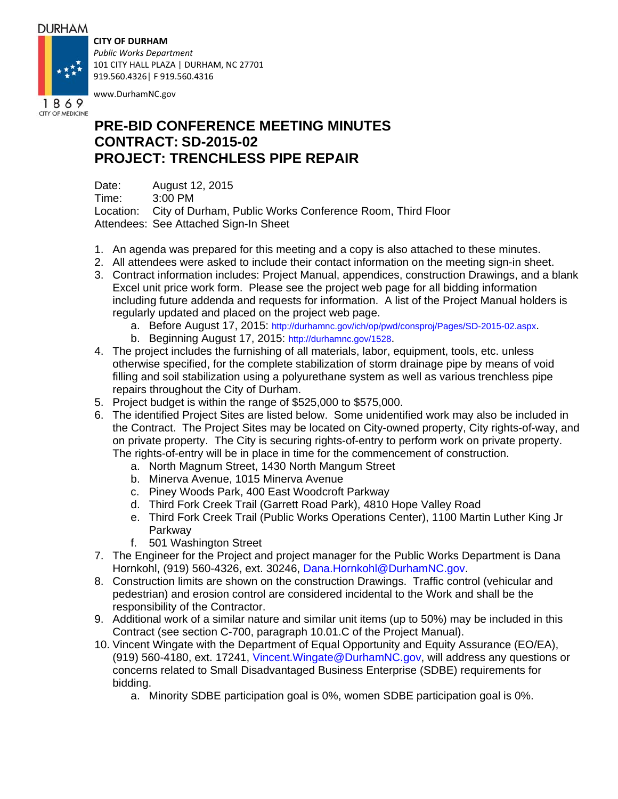### **DURHAM**

## **CITY OF DURHAM**



*Public Works Department* 101 CITY HALL PLAZA | DURHAM, NC 27701 919.560.4326| F 919.560.4316

www.DurhamNC.gov

# **PRE-BID CONFERENCE MEETING MINUTES CONTRACT: SD-2015-02 PROJECT: TRENCHLESS PIPE REPAIR**

Date: August 12, 2015 Time: 3:00 PM Location: City of Durham, Public Works Conference Room, Third Floor Attendees: See Attached Sign-In Sheet

- 1. An agenda was prepared for this meeting and a copy is also attached to these minutes.
- 2. All attendees were asked to include their contact information on the meeting sign-in sheet.
- 3. Contract information includes: Project Manual, appendices, construction Drawings, and a blank Excel unit price work form. Please see the project web page for all bidding information including future addenda and requests for information. A list of the Project Manual holders is regularly updated and placed on the project web page.
	- a. Before August 17, 2015: http://durhamnc.gov/ich/op/pwd/consproj/Pages/SD-2015-02.aspx.
	- b. Beginning August 17, 2015: http://durhamnc.gov/1528.
- 4. The project includes the furnishing of all materials, labor, equipment, tools, etc. unless otherwise specified, for the complete stabilization of storm drainage pipe by means of void filling and soil stabilization using a polyurethane system as well as various trenchless pipe repairs throughout the City of Durham.
- 5. Project budget is within the range of \$525,000 to \$575,000.
- 6. The identified Project Sites are listed below. Some unidentified work may also be included in the Contract. The Project Sites may be located on City-owned property, City rights-of-way, and on private property. The City is securing rights-of-entry to perform work on private property. The rights-of-entry will be in place in time for the commencement of construction.
	- a. North Magnum Street, 1430 North Mangum Street
	- b. Minerva Avenue, 1015 Minerva Avenue
	- c. Piney Woods Park, 400 East Woodcroft Parkway
	- d. Third Fork Creek Trail (Garrett Road Park), 4810 Hope Valley Road
	- e. Third Fork Creek Trail (Public Works Operations Center), 1100 Martin Luther King Jr Parkway
	- f. 501 Washington Street
- 7. The Engineer for the Project and project manager for the Public Works Department is Dana Hornkohl, (919) 560-4326, ext. 30246, Dana.Hornkohl@DurhamNC.gov.
- 8. Construction limits are shown on the construction Drawings. Traffic control (vehicular and pedestrian) and erosion control are considered incidental to the Work and shall be the responsibility of the Contractor.
- 9. Additional work of a similar nature and similar unit items (up to 50%) may be included in this Contract (see section C-700, paragraph 10.01.C of the Project Manual).
- 10. Vincent Wingate with the Department of Equal Opportunity and Equity Assurance (EO/EA), (919) 560-4180, ext. 17241, Vincent.Wingate@DurhamNC.gov, will address any questions or concerns related to Small Disadvantaged Business Enterprise (SDBE) requirements for bidding.
	- a. Minority SDBE participation goal is 0%, women SDBE participation goal is 0%.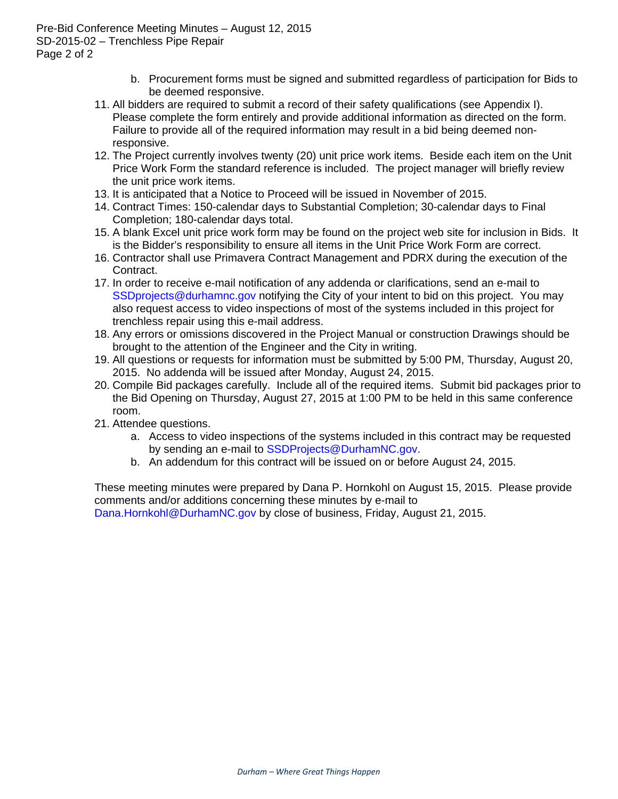Pre-Bid Conference Meeting Minutes – August 12, 2015 SD-2015-02 – Trenchless Pipe Repair Page 2 of 2

- b. Procurement forms must be signed and submitted regardless of participation for Bids to be deemed responsive.
- 11. All bidders are required to submit a record of their safety qualifications (see Appendix I). Please complete the form entirely and provide additional information as directed on the form. Failure to provide all of the required information may result in a bid being deemed nonresponsive.
- 12. The Project currently involves twenty (20) unit price work items. Beside each item on the Unit Price Work Form the standard reference is included. The project manager will briefly review the unit price work items.
- 13. It is anticipated that a Notice to Proceed will be issued in November of 2015.
- 14. Contract Times: 150-calendar days to Substantial Completion; 30-calendar days to Final Completion; 180-calendar days total.
- 15. A blank Excel unit price work form may be found on the project web site for inclusion in Bids. It is the Bidder's responsibility to ensure all items in the Unit Price Work Form are correct.
- 16. Contractor shall use Primavera Contract Management and PDRX during the execution of the Contract.
- 17. In order to receive e-mail notification of any addenda or clarifications, send an e-mail to SSDprojects@durhamnc.gov notifying the City of your intent to bid on this project. You may also request access to video inspections of most of the systems included in this project for trenchless repair using this e-mail address.
- 18. Any errors or omissions discovered in the Project Manual or construction Drawings should be brought to the attention of the Engineer and the City in writing.
- 19. All questions or requests for information must be submitted by 5:00 PM, Thursday, August 20, 2015. No addenda will be issued after Monday, August 24, 2015.
- 20. Compile Bid packages carefully. Include all of the required items. Submit bid packages prior to the Bid Opening on Thursday, August 27, 2015 at 1:00 PM to be held in this same conference room.
- 21. Attendee questions.
	- a. Access to video inspections of the systems included in this contract may be requested by sending an e-mail to SSDProjects@DurhamNC.gov.
	- b. An addendum for this contract will be issued on or before August 24, 2015.

These meeting minutes were prepared by Dana P. Hornkohl on August 15, 2015. Please provide comments and/or additions concerning these minutes by e-mail to

Dana.Hornkohl@DurhamNC.gov by close of business, Friday, August 21, 2015.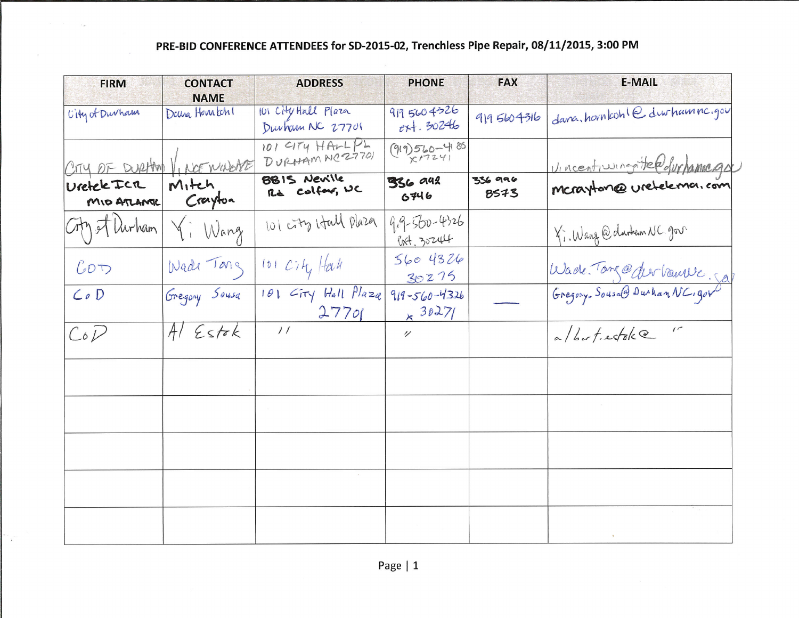# PRE-BID CONFERENCE ATTENDEES for SD-2015-02, Trenchless Pipe Repair, 08/11/2015, 3:00 PM

| <b>FIRM</b>                 | <b>CONTACT</b><br><b>NAME</b> | <b>ADDRESS</b>                           | <b>PHONE</b>                      | <b>FAX</b>      | <b>E-MAIL</b>                  |
|-----------------------------|-------------------------------|------------------------------------------|-----------------------------------|-----------------|--------------------------------|
| City of Durham              | Dana Hourkch!                 | 101 City Hall Plaza<br>Durham NC 27701   | 9195604326<br>$e + 30246$         | 9195604316      | dana.hovnkohledurhamne.gov     |
| CITY OF DURAM VINCE MODERE  |                               | 101 CITY HALPL<br>DURHAMNC27701          | $(919)560 - 4186$                 |                 | Vincentius nontrela durhammega |
| Uretele Ica<br>MID ATLANTIC | Mitch<br>Crayton              | 8815 Neville<br>Rd Colfort, UC           | <b>336 942</b><br>6746            | 336 996<br>8573 | Mcrayton@uretelema.com         |
| City of Durham              | Yi Wang                       | 101 city Hall Plaza                      | $9.9 - 500 - 4326$<br>Post, 30244 |                 | Ki. Wang @ durben NC gov       |
| Cov                         | Wade Tong                     | $101$ $C_7$ $H_4$ $H_4$                  | 5604326<br>30275                  |                 | Wade Tong@derbamve, 50         |
| $Co$ $D$                    | Gregory Sousa                 | 101 GTY Hall Plaza 919-560-4326<br>27701 | × 30271                           |                 |                                |
| CoD                         | $AlE$ stok                    |                                          | $\overline{v}$                    |                 | a/but.estak@"                  |
|                             |                               |                                          |                                   |                 |                                |
|                             |                               |                                          |                                   |                 |                                |
|                             |                               |                                          |                                   |                 |                                |
|                             |                               |                                          |                                   |                 |                                |
|                             |                               |                                          |                                   |                 |                                |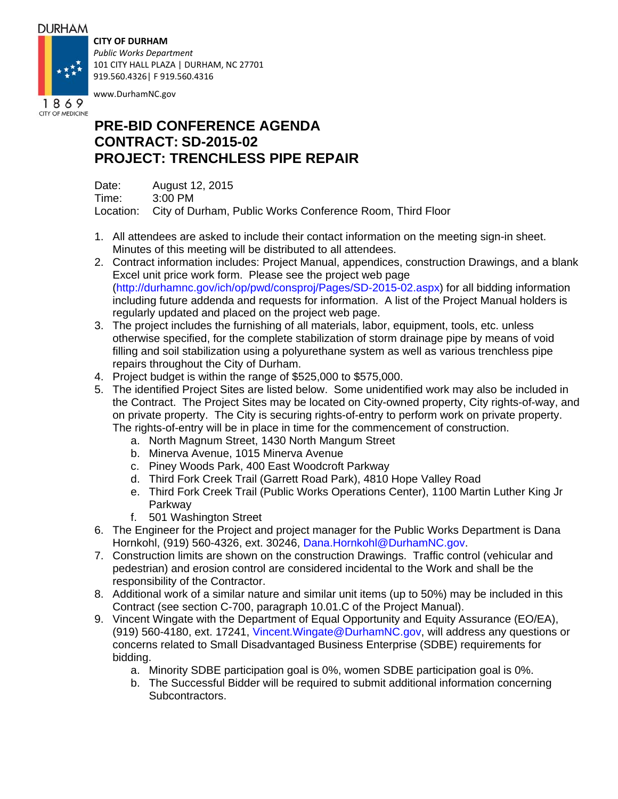### **DURHAM**

## **CITY OF DURHAM**

*Public Works Department* 101 CITY HALL PLAZA | DURHAM, NC 27701 919.560.4326| F 919.560.4316



www.DurhamNC.gov

## **PRE-BID CONFERENCE AGENDA CONTRACT: SD-2015-02 PROJECT: TRENCHLESS PIPE REPAIR**

Date: August 12, 2015 Time: 3:00 PM Location: City of Durham, Public Works Conference Room, Third Floor

- 1. All attendees are asked to include their contact information on the meeting sign-in sheet. Minutes of this meeting will be distributed to all attendees.
- 2. Contract information includes: Project Manual, appendices, construction Drawings, and a blank Excel unit price work form. Please see the project web page (http://durhamnc.gov/ich/op/pwd/consproj/Pages/SD-2015-02.aspx) for all bidding information including future addenda and requests for information. A list of the Project Manual holders is regularly updated and placed on the project web page.
- 3. The project includes the furnishing of all materials, labor, equipment, tools, etc. unless otherwise specified, for the complete stabilization of storm drainage pipe by means of void filling and soil stabilization using a polyurethane system as well as various trenchless pipe repairs throughout the City of Durham.
- 4. Project budget is within the range of \$525,000 to \$575,000.
- 5. The identified Project Sites are listed below. Some unidentified work may also be included in the Contract. The Project Sites may be located on City-owned property, City rights-of-way, and on private property. The City is securing rights-of-entry to perform work on private property. The rights-of-entry will be in place in time for the commencement of construction.
	- a. North Magnum Street, 1430 North Mangum Street
	- b. Minerva Avenue, 1015 Minerva Avenue
	- c. Piney Woods Park, 400 East Woodcroft Parkway
	- d. Third Fork Creek Trail (Garrett Road Park), 4810 Hope Valley Road
	- e. Third Fork Creek Trail (Public Works Operations Center), 1100 Martin Luther King Jr Parkway
	- f. 501 Washington Street
- 6. The Engineer for the Project and project manager for the Public Works Department is Dana Hornkohl, (919) 560-4326, ext. 30246, Dana.Hornkohl@DurhamNC.gov.
- 7. Construction limits are shown on the construction Drawings. Traffic control (vehicular and pedestrian) and erosion control are considered incidental to the Work and shall be the responsibility of the Contractor.
- 8. Additional work of a similar nature and similar unit items (up to 50%) may be included in this Contract (see section C-700, paragraph 10.01.C of the Project Manual).
- 9. Vincent Wingate with the Department of Equal Opportunity and Equity Assurance (EO/EA), (919) 560-4180, ext. 17241, Vincent.Wingate@DurhamNC.gov, will address any questions or concerns related to Small Disadvantaged Business Enterprise (SDBE) requirements for bidding.
	- a. Minority SDBE participation goal is 0%, women SDBE participation goal is 0%.
	- b. The Successful Bidder will be required to submit additional information concerning Subcontractors.